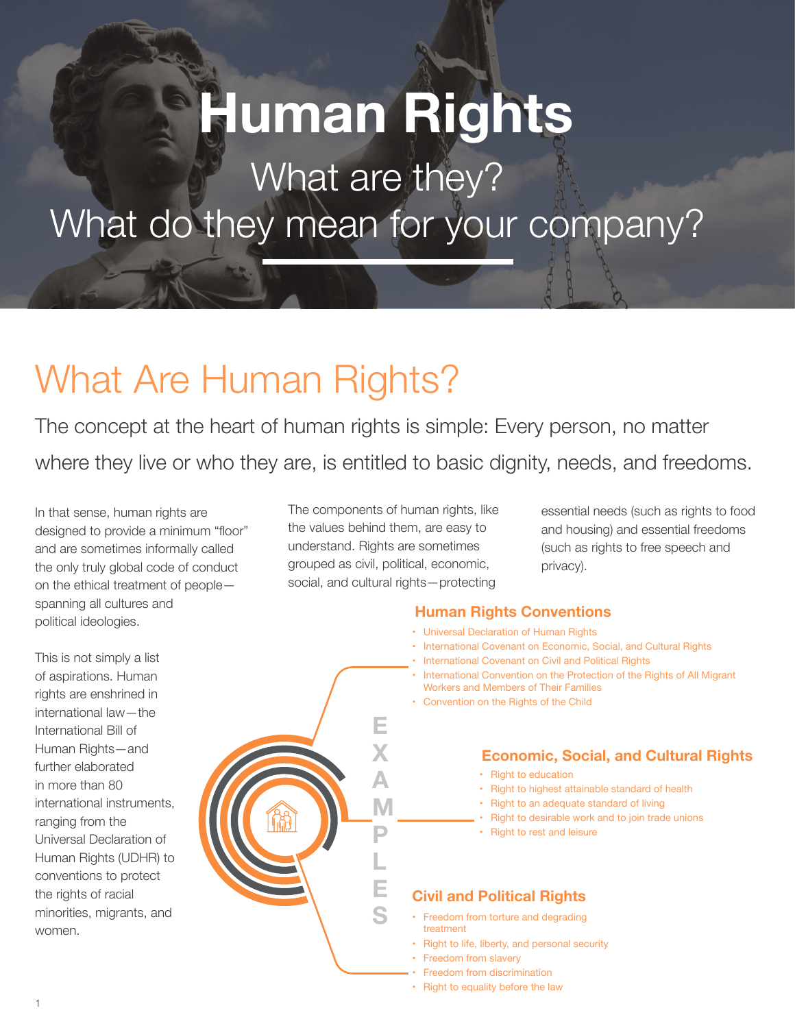# **Human Rights**

# What are they? What do they mean for your company?

# What Are Human Rights?

The concept at the heart of human rights is simple: Every person, no matter where they live or who they are, is entitled to basic dignity, needs, and freedoms.

In that sense, human rights are designed to provide a minimum "floor" and are sometimes informally called the only truly global code of conduct on the ethical treatment of people spanning all cultures and political ideologies.

This is not simply a list of aspirations. Human rights are enshrined in international law—the International Bill of Human Rights—and further elaborated in more than 80 international instruments, ranging from the Universal Declaration of Human Rights (UDHR) to conventions to protect the rights of racial minorities, migrants, and women.

The components of human rights, like the values behind them, are easy to understand. Rights are sometimes grouped as civil, political, economic, social, and cultural rights—protecting

**E**

**X**

**A M**

**P**

**L**

**E**

**S**

essential needs (such as rights to food and housing) and essential freedoms (such as rights to free speech and privacy).

#### **Human Rights Conventions**

- • Universal Declaration of Human Rights
- International Covenant on Economic, Social, and Cultural Rights
- International Covenant on Civil and Political Rights
- International Convention on the Protection of the Rights of All Migrant Workers and Members of Their Families
- • Convention on the Rights of the Child

### **Economic, Social, and Cultural Rights**

- • Right to education
- • Right to highest attainable standard of health
- Right to an adequate standard of living
- Right to desirable work and to join trade unions
- Right to rest and leisure

### **Civil and Political Rights**

- Freedom from torture and degrading treatment
- • Right to life, liberty, and personal security
- **Freedom from slavery**
- **Freedom from discrimination**
- Right to equality before the law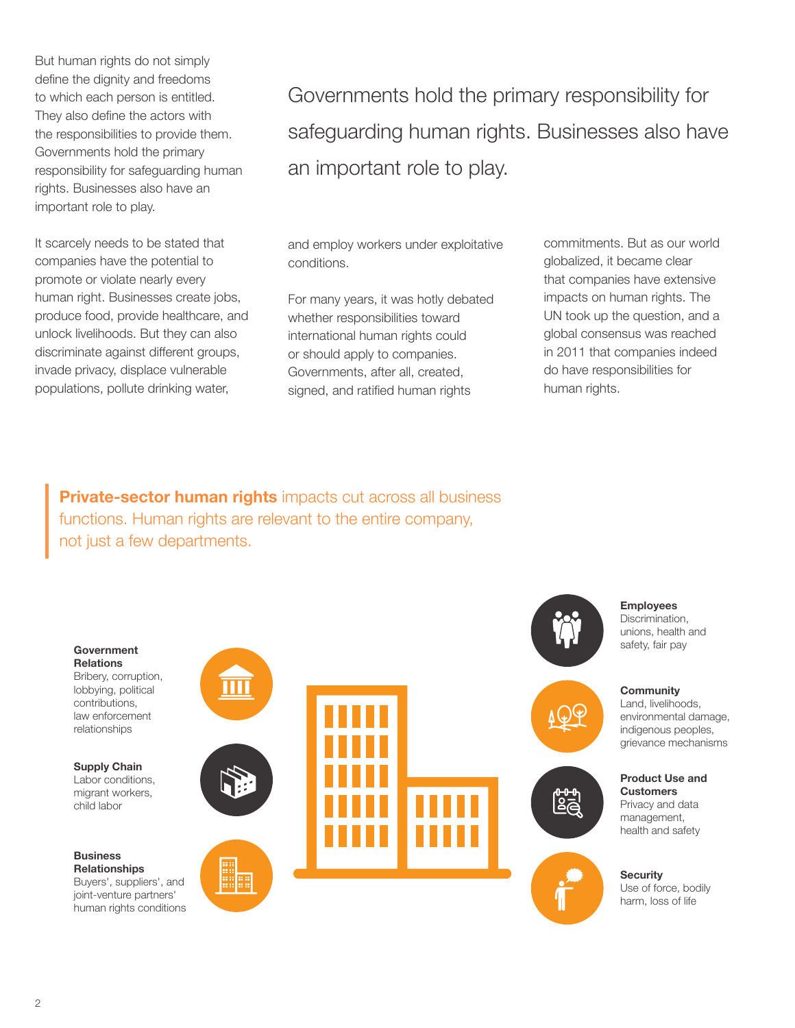But human rights do not simply define the dignity and freedoms to which each person is entitled. They also define the actors with the responsibilities to provide them. Governments hold the primary responsibility for safeguarding human rights. Businesses also have an important role to play.

It scarcely needs to be stated that companies have the potential to promote or violate nearly every human right. Businesses create jobs, produce food, provide healthcare, and unlock livelihoods. But they can also discriminate against different groups, invade privacy, displace vulnerable populations, pollute drinking water,

Governments hold the primary responsibility for safeguarding human rights. Businesses also have an important role to play.

and employ workers under exploitative conditions.

For many years, it was hotly debated whether responsibilities toward international human rights could or should apply to companies. Governments, after all, created, signed, and ratified human rights

commitments. But as our world globalized, it became clear that companies have extensive impacts on human rights. The UN took up the question, and a global consensus was reached in 2011 that companies indeed do have responsibilities for human rights.

**Private-sector human rights** impacts cut across all business functions. Human rights are relevant to the entire company, not just a few departments.

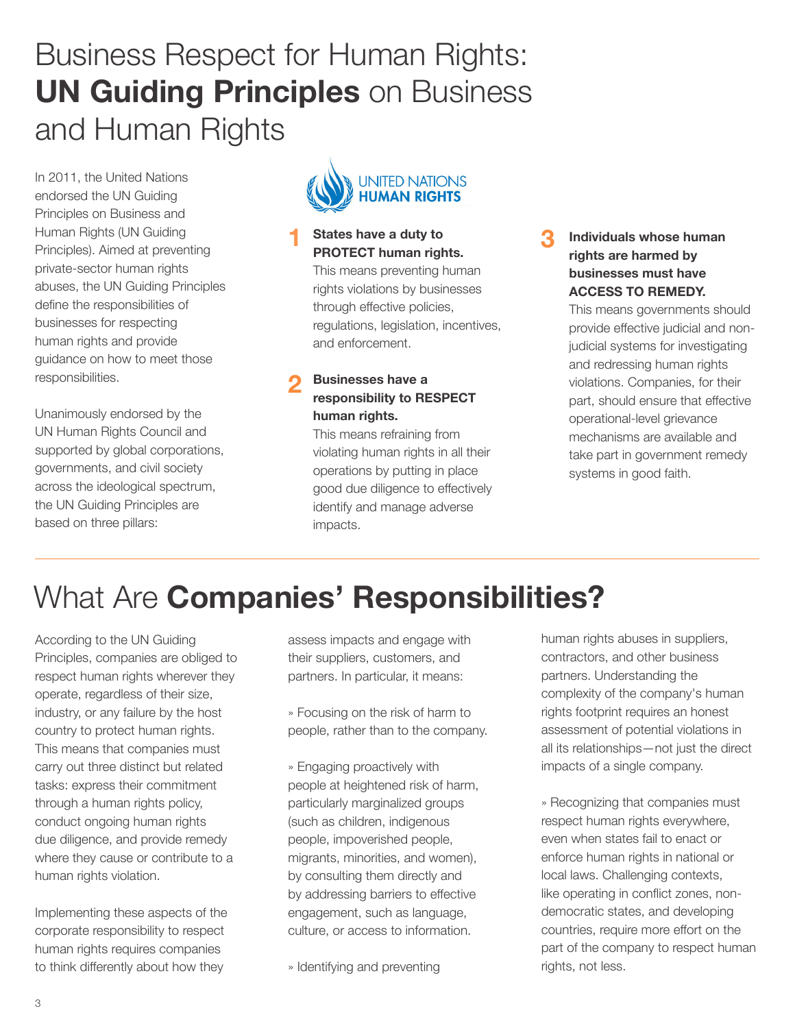### Business Respect for Human Rights: **UN Guiding Principles** on Business and Human Rights

In 2011, the United Nations endorsed the UN Guiding Principles on Business and Human Rights (UN Guiding Principles). Aimed at preventing private-sector human rights abuses, the UN Guiding Principles define the responsibilities of businesses for respecting human rights and provide guidance on how to meet those responsibilities.

Unanimously endorsed by the UN Human Rights Council and supported by global corporations, governments, and civil society across the ideological spectrum, the UN Guiding Principles are based on three pillars:



#### **1 3 States have a duty to PROTECT human rights.**

This means preventing human rights violations by businesses through effective policies, regulations, legislation, incentives, and enforcement.

#### **2 Businesses have a responsibility to RESPECT human rights.**

This means refraining from violating human rights in all their operations by putting in place good due diligence to effectively identify and manage adverse impacts.

#### **Individuals whose human rights are harmed by businesses must have ACCESS TO REMEDY.**

This means governments should provide effective judicial and nonjudicial systems for investigating and redressing human rights violations. Companies, for their part, should ensure that effective operational-level grievance mechanisms are available and take part in government remedy systems in good faith.

## What Are **Companies' Responsibilities?**

According to the UN Guiding Principles, companies are obliged to respect human rights wherever they operate, regardless of their size, industry, or any failure by the host country to protect human rights. This means that companies must carry out three distinct but related tasks: express their commitment through a human rights policy, conduct ongoing human rights due diligence, and provide remedy where they cause or contribute to a human rights violation.

Implementing these aspects of the corporate responsibility to respect human rights requires companies to think differently about how they

assess impacts and engage with their suppliers, customers, and partners. In particular, it means:

» Focusing on the risk of harm to people, rather than to the company.

» Engaging proactively with people at heightened risk of harm, particularly marginalized groups (such as children, indigenous people, impoverished people, migrants, minorities, and women), by consulting them directly and by addressing barriers to effective engagement, such as language, culture, or access to information.

» Identifying and preventing

human rights abuses in suppliers, contractors, and other business partners. Understanding the complexity of the company's human rights footprint requires an honest assessment of potential violations in all its relationships—not just the direct impacts of a single company.

» Recognizing that companies must respect human rights everywhere, even when states fail to enact or enforce human rights in national or local laws. Challenging contexts, like operating in conflict zones, nondemocratic states, and developing countries, require more effort on the part of the company to respect human rights, not less.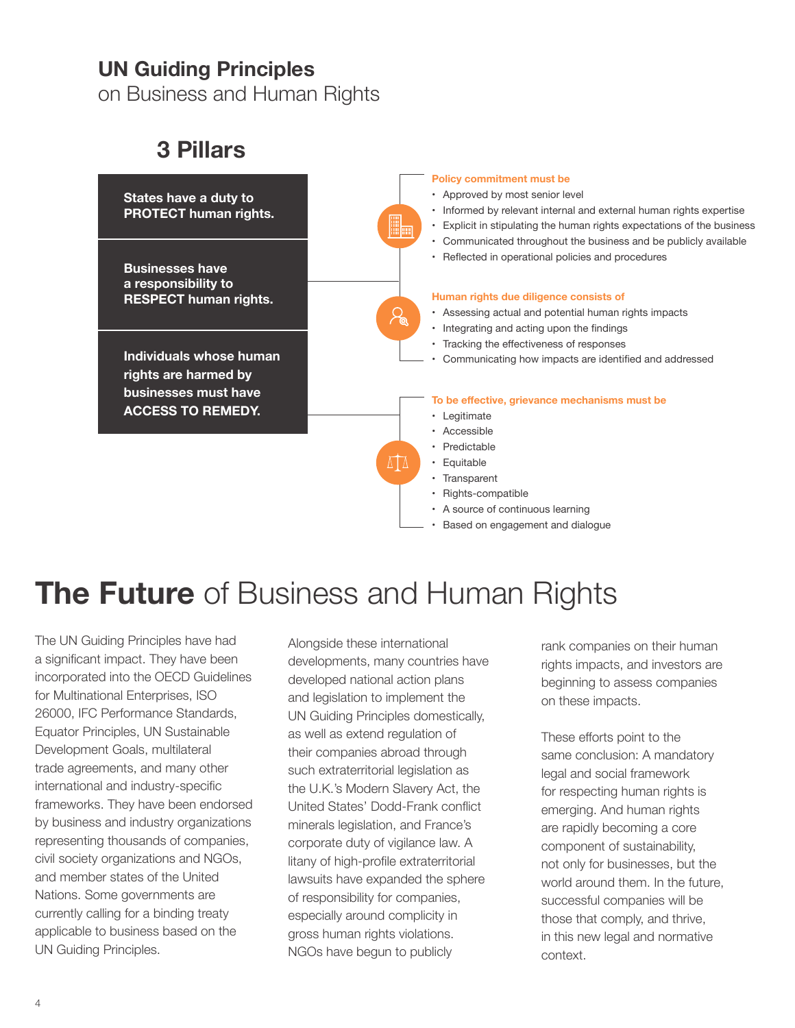### **UN Guiding Principles**

on Business and Human Rights



### **The Future** of Business and Human Rights

The UN Guiding Principles have had a significant impact. They have been incorporated into the OECD Guidelines for Multinational Enterprises, ISO 26000, IFC Performance Standards, Equator Principles, UN Sustainable Development Goals, multilateral trade agreements, and many other international and industry-specific frameworks. They have been endorsed by business and industry organizations representing thousands of companies, civil society organizations and NGOs, and member states of the United Nations. Some governments are currently calling for a binding treaty applicable to business based on the UN Guiding Principles.

Alongside these international developments, many countries have developed national action plans and legislation to implement the UN Guiding Principles domestically, as well as extend regulation of their companies abroad through such extraterritorial legislation as the U.K.'s Modern Slavery Act, the United States' Dodd-Frank conflict minerals legislation, and France's corporate duty of vigilance law. A litany of high-profile extraterritorial lawsuits have expanded the sphere of responsibility for companies, especially around complicity in gross human rights violations. NGOs have begun to publicly

rank companies on their human rights impacts, and investors are beginning to assess companies on these impacts.

These efforts point to the same conclusion: A mandatory legal and social framework for respecting human rights is emerging. And human rights are rapidly becoming a core component of sustainability, not only for businesses, but the world around them. In the future, successful companies will be those that comply, and thrive, in this new legal and normative context.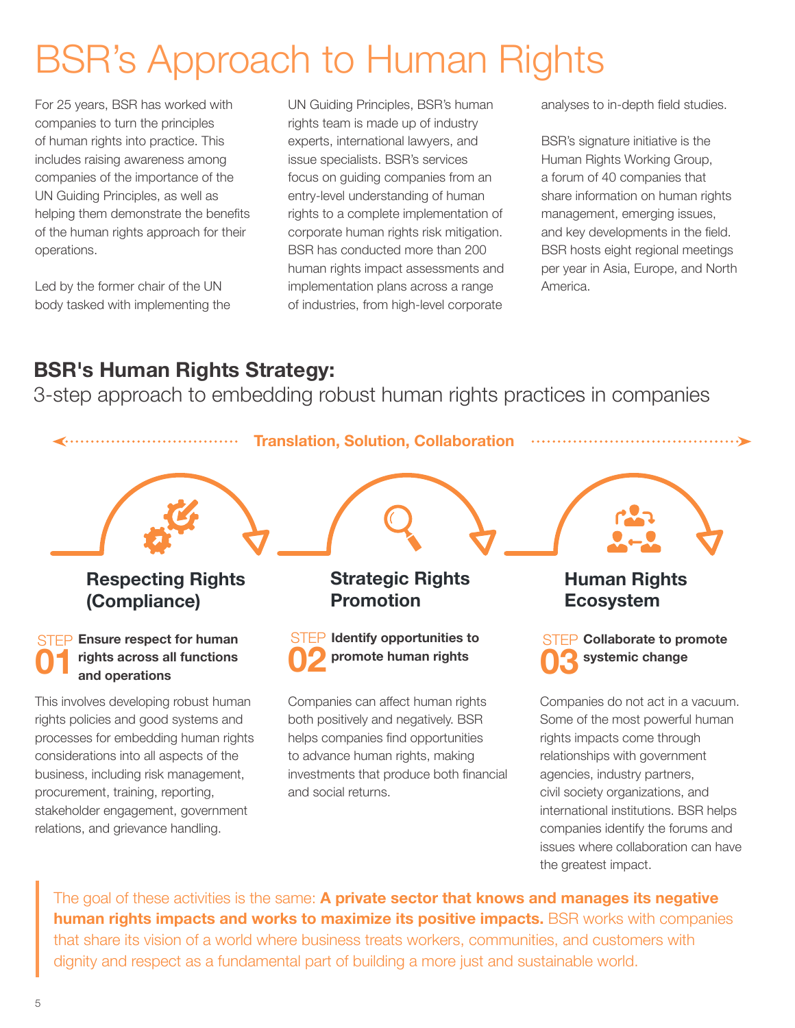# BSR's Approach to Human Rights

For 25 years, BSR has worked with companies to turn the principles of human rights into practice. This includes raising awareness among companies of the importance of the UN Guiding Principles, as well as helping them demonstrate the benefits of the human rights approach for their operations.

Led by the former chair of the UN body tasked with implementing the

relations, and grievance handling.

UN Guiding Principles, BSR's human rights team is made up of industry experts, international lawyers, and issue specialists. BSR's services focus on guiding companies from an entry-level understanding of human rights to a complete implementation of corporate human rights risk mitigation. BSR has conducted more than 200 human rights impact assessments and implementation plans across a range of industries, from high-level corporate

analyses to in-depth field studies.

BSR's signature initiative is the Human Rights Working Group, a forum of 40 companies that share information on human rights management, emerging issues, and key developments in the field. BSR hosts eight regional meetings per year in Asia, Europe, and North America.

companies identify the forums and issues where collaboration can have

the greatest impact.

### **BSR's Human Rights Strategy:**

3-step approach to embedding robust human rights practices in companies



The goal of these activities is the same: **A private sector that knows and manages its negative human rights impacts and works to maximize its positive impacts.** BSR works with companies that share its vision of a world where business treats workers, communities, and customers with dignity and respect as a fundamental part of building a more just and sustainable world.